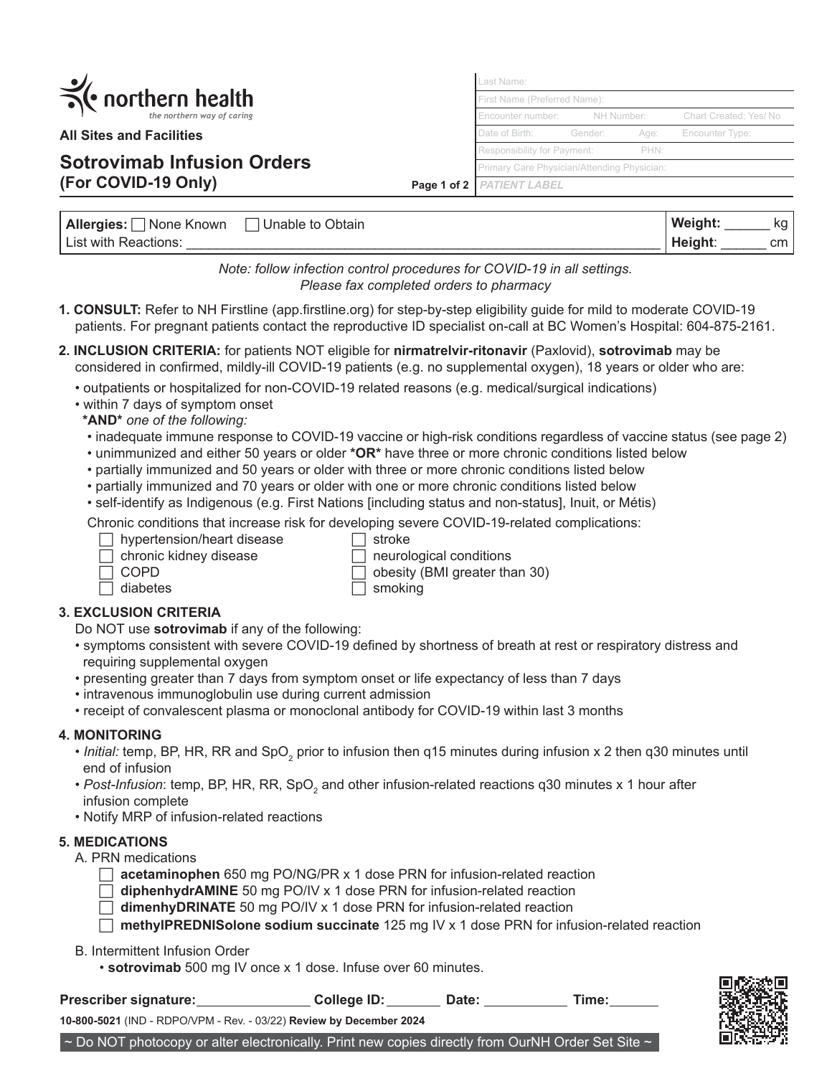| $\mathcal{L}$ | $\mathcal{R}$ northern health |
|---------------|-------------------------------|
|               | the northern way of caring    |

**All Sites and Facilities**

# **Sotrovimab Infusion Orders (For COVID-19 Only)**

**Page 1 of 2** PATIENT LABEL Last Name: First Name (Preferred Name) Encounter number: NH Number: Chart Created: Yes/ No Date of Birth: Gender: Age: Encounter Type: Responsibility for Payment: PHN: Primary Care Physician/Attending Physician:

| Allergies:<br>⊺None Known | Unable to Obtain | Weight: | ka  |
|---------------------------|------------------|---------|-----|
| List with Reactions:      |                  | Height: | cm. |

*Note: follow infection control procedures for COVID-19 in all settings. Please fax completed orders to pharmacy*

- **1. CONSULT:** Refer to NH Firstline (app.firstline.org) for step-by-step eligibility guide for mild to moderate COVID-19 patients. For pregnant patients contact the reproductive ID specialist on-call at BC Women's Hospital: 604-875-2161.
- **2. INCLUSION CRITERIA:** for patients NOT eligible for **nirmatrelvir-ritonavir** (Paxlovid), **sotrovimab** may be considered in confirmed, mildly-ill COVID-19 patients (e.g. no supplemental oxygen), 18 years or older who are:
	- outpatients or hospitalized for non-COVID-19 related reasons (e.g. medical/surgical indications)
	- within 7 days of symptom onset
	- **\*AND\*** *one of the following:*
	- inadequate immune response to COVID-19 vaccine or high-risk conditions regardless of vaccine status (see page 2)
	- unimmunized and either 50 years or older **\*OR\*** have three or more chronic conditions listed below
	- partially immunized and 50 years or older with three or more chronic conditions listed below
	- partially immunized and 70 years or older with one or more chronic conditions listed below
	- self-identify as Indigenous (e.g. First Nations [including status and non-status], Inuit, or Métis)

Chronic conditions that increase risk for developing severe COVID-19-related complications:<br>  $\Box$  hypertension/heart disease  $\Box$  stroke

- $\Box$  hypertension/heart disease
- chronic kidney disease  $\Box$  neurological conditions
- 
- 

 $\Box$  COPD  $\Box$  obesity (BMI greater than 30)  $\Box$  diabetes  $\Box$  smoking

**3. EXCLUSION CRITERIA**

Do NOT use **sotrovimab** if any of the following:

- symptoms consistent with severe COVID-19 defined by shortness of breath at rest or respiratory distress and requiring supplemental oxygen
- presenting greater than 7 days from symptom onset or life expectancy of less than 7 days
- intravenous immunoglobulin use during current admission
- receipt of convalescent plasma or monoclonal antibody for COVID-19 within last 3 months

## **4. MONITORING**

- $\bullet$  *Initial:* temp, BP, HR, RR and SpO<sub>2</sub> prior to infusion then q15 minutes during infusion x 2 then q30 minutes until end of infusion
- $\bullet$  *Post-Infusion*: temp, BP, HR, RR, SpO<sub>2</sub> and other infusion-related reactions q30 minutes x 1 hour after infusion complete
- Notify MRP of infusion-related reactions

## **5. MEDICATIONS**

A. PRN medications

- **acetaminophen** 650 mg PO/NG/PR x 1 dose PRN for infusion-related reaction
- **diphenhydrAMINE** 50 mg PO/IV x 1 dose PRN for infusion-related reaction
- **dimenhyDRINATE** 50 mg PO/IV x 1 dose PRN for infusion-related reaction

**methylPREDNISolone sodium succinate** 125 mg IV x 1 dose PRN for infusion-related reaction

#### B. Intermittent Infusion Order

• **sotrovimab** 500 mg IV once x 1 dose. Infuse over 60 minutes.

**10-800-5021** (IND - RDPO/VPM - Rev. - 03/22) **Review by December 2024**

**Prescriber signature:** College ID: Date: Time:



 $\sim$  Do NOT photocopy or alter electronically. Print new copies directly from OurNH Order Set Site  $\sim$